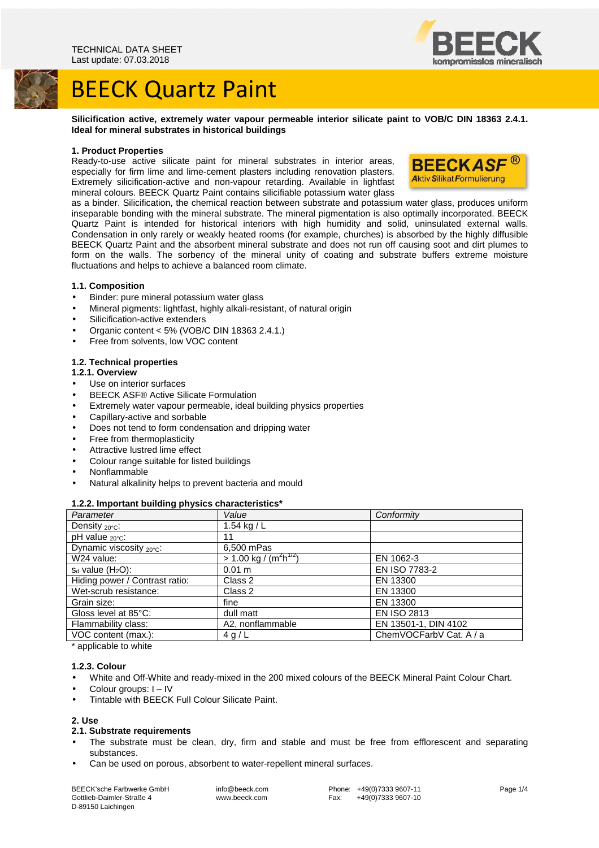



**Silicification active, extremely water vapour permeable interior silicate paint to VOB/C DIN 18363 2.4.1. Ideal for mineral substrates in historical buildings** 

# **1. Product Properties**

Ready-to-use active silicate paint for mineral substrates in interior areas, especially for firm lime and lime-cement plasters including renovation plasters. Extremely silicification-active and non-vapour retarding. Available in lightfast mineral colours. BEECK Quartz Paint contains silicifiable potassium water glass



as a binder. Silicification, the chemical reaction between substrate and potassium water glass, produces uniform inseparable bonding with the mineral substrate. The mineral pigmentation is also optimally incorporated. BEECK Quartz Paint is intended for historical interiors with high humidity and solid, uninsulated external walls. Condensation in only rarely or weakly heated rooms (for example, churches) is absorbed by the highly diffusible BEECK Quartz Paint and the absorbent mineral substrate and does not run off causing soot and dirt plumes to form on the walls. The sorbency of the mineral unity of coating and substrate buffers extreme moisture fluctuations and helps to achieve a balanced room climate.

# **1.1. Composition**

- Binder: pure mineral potassium water glass
- Mineral pigments: lightfast, highly alkali-resistant, of natural origin
- Silicification-active extenders
- Organic content < 5% (VOB/C DIN 18363 2.4.1.)
- Free from solvents, low VOC content

#### **1.2. Technical properties**

#### **1.2.1. Overview**

- Use on interior surfaces
- BEECK ASF® Active Silicate Formulation
- Extremely water vapour permeable, ideal building physics properties
- Capillary-active and sorbable
- Does not tend to form condensation and dripping water
- Free from thermoplasticity
- Attractive lustred lime effect
- Colour range suitable for listed buildings
- Nonflammable
- Natural alkalinity helps to prevent bacteria and mould

#### **1.2.2. Important building physics characteristics\***

| .                                    |                                         |                         |
|--------------------------------------|-----------------------------------------|-------------------------|
| Parameter                            | Value                                   | Conformity              |
| Density $_{20^{\circ}C}$ :           | 1.54 kg / $L$                           |                         |
| pH value <sub>20°C</sub> :           | 11                                      |                         |
| Dynamic viscosity $_{20^{\circ}C}$ : | 6,500 mPas                              |                         |
| W24 value:                           | $> 1.00$ kg / $(\overline{m^2h^{1/2}})$ | EN 1062-3               |
| $s_d$ value $(H_2O)$ :               | 0.01 m                                  | EN ISO 7783-2           |
| Hiding power / Contrast ratio:       | Class 2                                 | EN 13300                |
| Wet-scrub resistance:                | Class 2                                 | EN 13300                |
| Grain size:                          | fine                                    | EN 13300                |
| Gloss level at 85°C:                 | dull matt                               | <b>EN ISO 2813</b>      |
| Flammability class:                  | A2, nonflammable                        | EN 13501-1, DIN 4102    |
| VOC content (max.):                  | 4 g/L                                   | ChemVOCFarbV Cat. A / a |
|                                      |                                         |                         |

\* applicable to white

#### **1.2.3. Colour**

- White and Off-White and ready-mixed in the 200 mixed colours of the BEECK Mineral Paint Colour Chart.
- Colour groups: I IV
- Tintable with BEECK Full Colour Silicate Paint.

#### **2. Use**

# **2.1. Substrate requirements**

- The substrate must be clean, dry, firm and stable and must be free from efflorescent and separating substances.
- Can be used on porous, absorbent to water-repellent mineral surfaces.

BEECK'sche Farbwerke GmbH Gottlieb-Daimler-Straße 4 D-89150 Laichingen

 info@beeck.com www.beeck.com

 Phone: +49(0)7333 9607-11 Fax: +49(0)7333 9607-10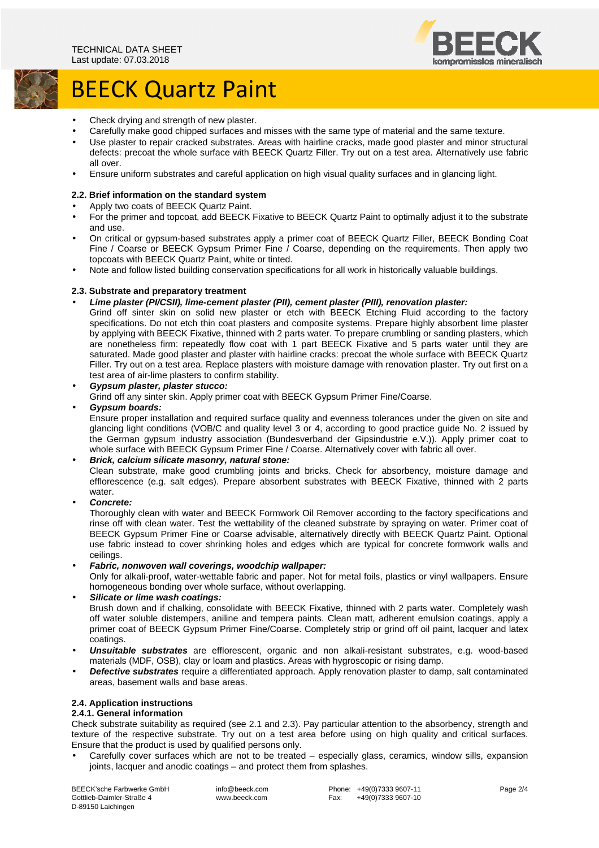



- Check drying and strength of new plaster.
- Carefully make good chipped surfaces and misses with the same type of material and the same texture.
- Use plaster to repair cracked substrates. Areas with hairline cracks, made good plaster and minor structural defects: precoat the whole surface with BEECK Quartz Filler. Try out on a test area. Alternatively use fabric all over.
- Ensure uniform substrates and careful application on high visual quality surfaces and in glancing light.

# **2.2. Brief information on the standard system**

- Apply two coats of BEECK Quartz Paint.
- For the primer and topcoat, add BEECK Fixative to BEECK Quartz Paint to optimally adjust it to the substrate and use.
- On critical or gypsum-based substrates apply a primer coat of BEECK Quartz Filler, BEECK Bonding Coat Fine / Coarse or BEECK Gypsum Primer Fine / Coarse, depending on the requirements. Then apply two topcoats with BEECK Quartz Paint, white or tinted.
- Note and follow listed building conservation specifications for all work in historically valuable buildings.

# **2.3. Substrate and preparatory treatment**

- **Lime plaster (PI/CSII), lime-cement plaster (PII), cement plaster (PIII), renovation plaster:**
- Grind off sinter skin on solid new plaster or etch with BEECK Etching Fluid according to the factory specifications. Do not etch thin coat plasters and composite systems. Prepare highly absorbent lime plaster by applying with BEECK Fixative, thinned with 2 parts water. To prepare crumbling or sanding plasters, which are nonetheless firm: repeatedly flow coat with 1 part BEECK Fixative and 5 parts water until they are saturated. Made good plaster and plaster with hairline cracks: precoat the whole surface with BEECK Quartz Filler. Try out on a test area. Replace plasters with moisture damage with renovation plaster. Try out first on a test area of air-lime plasters to confirm stability.
- **Gypsum plaster, plaster stucco:**

Grind off any sinter skin. Apply primer coat with BEECK Gypsum Primer Fine/Coarse.

# • **Gypsum boards:**

Ensure proper installation and required surface quality and evenness tolerances under the given on site and glancing light conditions (VOB/C and quality level 3 or 4, according to good practice guide No. 2 issued by the German gypsum industry association (Bundesverband der Gipsindustrie e.V.)). Apply primer coat to whole surface with BEECK Gypsum Primer Fine / Coarse. Alternatively cover with fabric all over.

# • **Brick, calcium silicate masonry, natural stone:**

Clean substrate, make good crumbling joints and bricks. Check for absorbency, moisture damage and efflorescence (e.g. salt edges). Prepare absorbent substrates with BEECK Fixative, thinned with 2 parts water.

• **Concrete:** 

Thoroughly clean with water and BEECK Formwork Oil Remover according to the factory specifications and rinse off with clean water. Test the wettability of the cleaned substrate by spraying on water. Primer coat of BEECK Gypsum Primer Fine or Coarse advisable, alternatively directly with BEECK Quartz Paint. Optional use fabric instead to cover shrinking holes and edges which are typical for concrete formwork walls and ceilings.

# • **Fabric, nonwoven wall coverings, woodchip wallpaper:**

Only for alkali-proof, water-wettable fabric and paper. Not for metal foils, plastics or vinyl wallpapers. Ensure homogeneous bonding over whole surface, without overlapping.

• **Silicate or lime wash coatings:** 

Brush down and if chalking, consolidate with BEECK Fixative, thinned with 2 parts water. Completely wash off water soluble distempers, aniline and tempera paints. Clean matt, adherent emulsion coatings, apply a primer coat of BEECK Gypsum Primer Fine/Coarse. Completely strip or grind off oil paint, lacquer and latex coatings.

- **Unsuitable substrates** are efflorescent, organic and non alkali-resistant substrates, e.g. wood-based materials (MDF, OSB), clay or loam and plastics. Areas with hygroscopic or rising damp.
- **Defective substrates** require a differentiated approach. Apply renovation plaster to damp, salt contaminated areas, basement walls and base areas.

# **2.4. Application instructions**

# **2.4.1. General information**

Check substrate suitability as required (see 2.1 and 2.3). Pay particular attention to the absorbency, strength and texture of the respective substrate. Try out on a test area before using on high quality and critical surfaces. Ensure that the product is used by qualified persons only.

• Carefully cover surfaces which are not to be treated – especially glass, ceramics, window sills, expansion joints, lacquer and anodic coatings – and protect them from splashes.

BEECK'sche Farbwerke GmbH Gottlieb-Daimler-Straße 4 D-89150 Laichingen

 info@beeck.com www.beeck.com

Phone: +49(0)7333 9607-11<br>Fax: +49(0)7333 9607-10  $+49(0)73339607-10$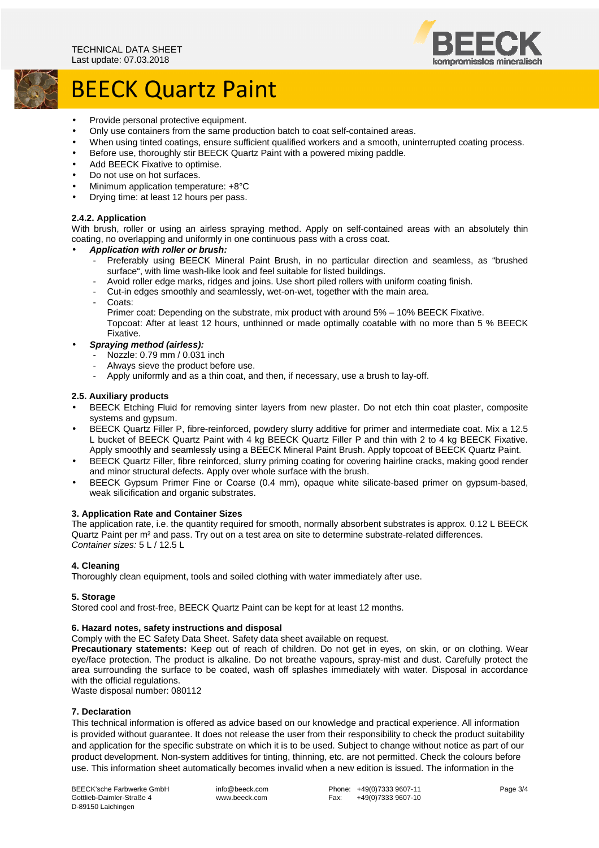

# BEECK Quartz Paint

- Provide personal protective equipment.
- Only use containers from the same production batch to coat self-contained areas.
- When using tinted coatings, ensure sufficient qualified workers and a smooth, uninterrupted coating process.
- Before use, thoroughly stir BEECK Quartz Paint with a powered mixing paddle.
- Add BEECK Fixative to optimise.
- Do not use on hot surfaces.
- Minimum application temperature: +8°C
- Drying time: at least 12 hours per pass.

# **2.4.2. Application**

With brush, roller or using an airless spraying method. Apply on self-contained areas with an absolutely thin coating, no overlapping and uniformly in one continuous pass with a cross coat.

- **Application with roller or brush:** 
	- Preferably using BEECK Mineral Paint Brush, in no particular direction and seamless, as "brushed" surface", with lime wash-like look and feel suitable for listed buildings.
	- Avoid roller edge marks, ridges and joins. Use short piled rollers with uniform coating finish.
	- Cut-in edges smoothly and seamlessly, wet-on-wet, together with the main area.
	- Coats:

Primer coat: Depending on the substrate, mix product with around 5% – 10% BEECK Fixative. Topcoat: After at least 12 hours, unthinned or made optimally coatable with no more than 5 % BEECK Fixative.

- **Spraying method (airless):** 
	- Nozzle: 0.79 mm / 0.031 inch
	- Always sieve the product before use.
	- Apply uniformly and as a thin coat, and then, if necessary, use a brush to lay-off.

# **2.5. Auxiliary products**

- BEECK Etching Fluid for removing sinter layers from new plaster. Do not etch thin coat plaster, composite systems and gypsum.
- BEECK Quartz Filler P, fibre-reinforced, powdery slurry additive for primer and intermediate coat. Mix a 12.5 L bucket of BEECK Quartz Paint with 4 kg BEECK Quartz Filler P and thin with 2 to 4 kg BEECK Fixative. Apply smoothly and seamlessly using a BEECK Mineral Paint Brush. Apply topcoat of BEECK Quartz Paint.
- BEECK Quartz Filler, fibre reinforced, slurry priming coating for covering hairline cracks, making good render and minor structural defects. Apply over whole surface with the brush.
- BEECK Gypsum Primer Fine or Coarse (0.4 mm), opaque white silicate-based primer on gypsum-based, weak silicification and organic substrates.

# **3. Application Rate and Container Sizes**

The application rate, i.e. the quantity required for smooth, normally absorbent substrates is approx. 0.12 L BEECK Quartz Paint per m² and pass. Try out on a test area on site to determine substrate-related differences. Container sizes: 5 L / 12.5 L

# **4. Cleaning**

Thoroughly clean equipment, tools and soiled clothing with water immediately after use.

# **5. Storage**

Stored cool and frost-free, BEECK Quartz Paint can be kept for at least 12 months.

# **6. Hazard notes, safety instructions and disposal**

Comply with the EC Safety Data Sheet. Safety data sheet available on request.

**Precautionary statements:** Keep out of reach of children. Do not get in eyes, on skin, or on clothing. Wear eye/face protection. The product is alkaline. Do not breathe vapours, spray-mist and dust. Carefully protect the area surrounding the surface to be coated, wash off splashes immediately with water. Disposal in accordance with the official regulations.

Waste disposal number: 080112

# **7. Declaration**

This technical information is offered as advice based on our knowledge and practical experience. All information is provided without guarantee. It does not release the user from their responsibility to check the product suitability and application for the specific substrate on which it is to be used. Subject to change without notice as part of our product development. Non-system additives for tinting, thinning, etc. are not permitted. Check the colours before use. This information sheet automatically becomes invalid when a new edition is issued. The information in the